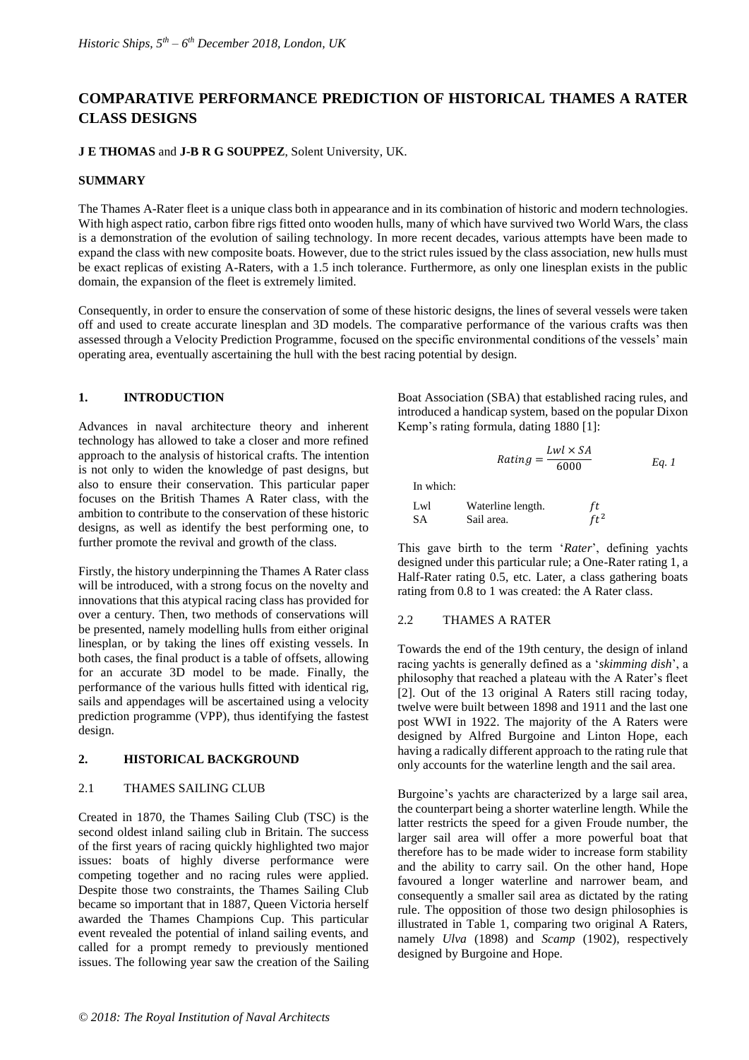# **COMPARATIVE PERFORMANCE PREDICTION OF HISTORICAL THAMES A RATER CLASS DESIGNS**

## **J E THOMAS** and **J-B R G SOUPPEZ**, Solent University, UK.

#### **SUMMARY**

The Thames A-Rater fleet is a unique class both in appearance and in its combination of historic and modern technologies. With high aspect ratio, carbon fibre rigs fitted onto wooden hulls, many of which have survived two World Wars, the class is a demonstration of the evolution of sailing technology. In more recent decades, various attempts have been made to expand the class with new composite boats. However, due to the strict rules issued by the class association, new hulls must be exact replicas of existing A-Raters, with a 1.5 inch tolerance. Furthermore, as only one linesplan exists in the public domain, the expansion of the fleet is extremely limited.

Consequently, in order to ensure the conservation of some of these historic designs, the lines of several vessels were taken off and used to create accurate linesplan and 3D models. The comparative performance of the various crafts was then assessed through a Velocity Prediction Programme, focused on the specific environmental conditions of the vessels' main operating area, eventually ascertaining the hull with the best racing potential by design.

## **1. INTRODUCTION**

Advances in naval architecture theory and inherent technology has allowed to take a closer and more refined approach to the analysis of historical crafts. The intention is not only to widen the knowledge of past designs, but also to ensure their conservation. This particular paper focuses on the British Thames A Rater class, with the ambition to contribute to the conservation of these historic designs, as well as identify the best performing one, to further promote the revival and growth of the class.

Firstly, the history underpinning the Thames A Rater class will be introduced, with a strong focus on the novelty and innovations that this atypical racing class has provided for over a century. Then, two methods of conservations will be presented, namely modelling hulls from either original linesplan, or by taking the lines off existing vessels. In both cases, the final product is a table of offsets, allowing for an accurate 3D model to be made. Finally, the performance of the various hulls fitted with identical rig, sails and appendages will be ascertained using a velocity prediction programme (VPP), thus identifying the fastest design.

#### **2. HISTORICAL BACKGROUND**

#### 2.1 THAMES SAILING CLUB

Created in 1870, the Thames Sailing Club (TSC) is the second oldest inland sailing club in Britain. The success of the first years of racing quickly highlighted two major issues: boats of highly diverse performance were competing together and no racing rules were applied. Despite those two constraints, the Thames Sailing Club became so important that in 1887, Queen Victoria herself awarded the Thames Champions Cup. This particular event revealed the potential of inland sailing events, and called for a prompt remedy to previously mentioned issues. The following year saw the creation of the Sailing Boat Association (SBA) that established racing rules, and introduced a handicap system, based on the popular Dixon Kemp's rating formula, dating 1880 [1]:

 $Rating = \frac{Lwl \times SA}{6000}$ 

6000 *Eq. 1*

$$
In which:
$$

| Lwl | Waterline length. | ft     |
|-----|-------------------|--------|
| SА  | Sail area.        | $ft^2$ |

This gave birth to the term '*Rater*', defining yachts designed under this particular rule; a One-Rater rating 1, a Half-Rater rating 0.5, etc. Later, a class gathering boats rating from 0.8 to 1 was created: the A Rater class.

## 2.2 THAMES A RATER

Towards the end of the 19th century, the design of inland racing yachts is generally defined as a '*skimming dish*', a philosophy that reached a plateau with the A Rater's fleet [2]. Out of the 13 original A Raters still racing today, twelve were built between 1898 and 1911 and the last one post WWI in 1922. The majority of the A Raters were designed by Alfred Burgoine and Linton Hope, each having a radically different approach to the rating rule that only accounts for the waterline length and the sail area.

Burgoine's yachts are characterized by a large sail area, the counterpart being a shorter waterline length. While the latter restricts the speed for a given Froude number, the larger sail area will offer a more powerful boat that therefore has to be made wider to increase form stability and the ability to carry sail. On the other hand, Hope favoured a longer waterline and narrower beam, and consequently a smaller sail area as dictated by the rating rule. The opposition of those two design philosophies is illustrated in Table 1, comparing two original A Raters, namely *Ulva* (1898) and *Scamp* (1902), respectively designed by Burgoine and Hope.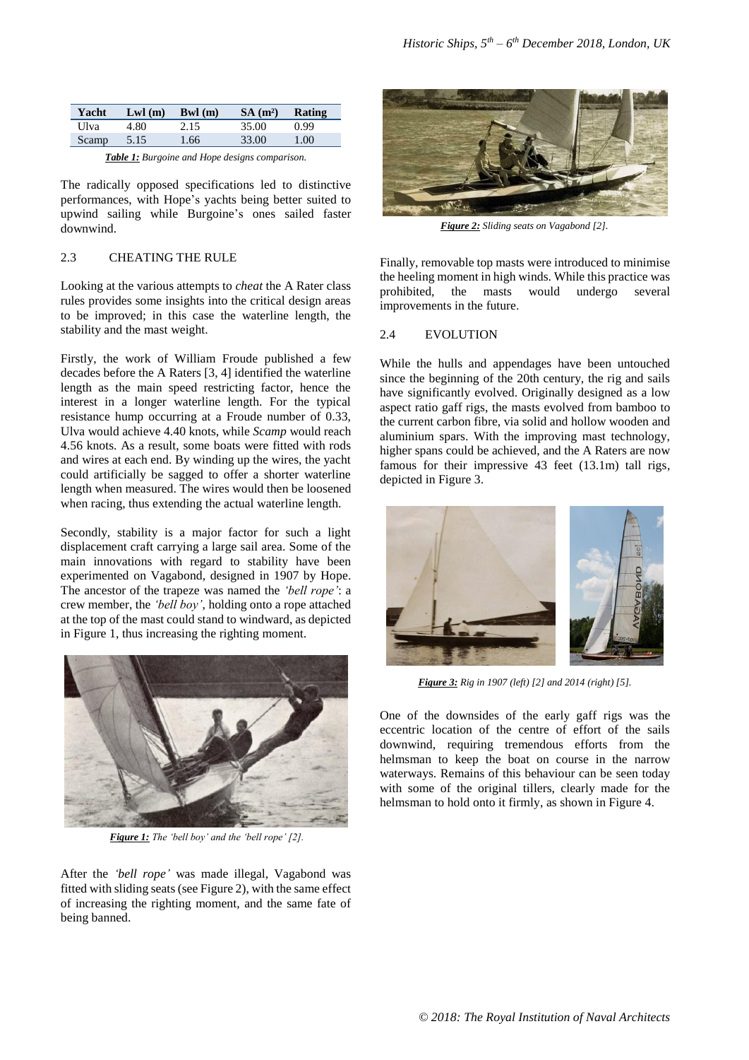| Yacht | Lwl(m) | Bwl (m) | $SA(m^2)$ | Rating |
|-------|--------|---------|-----------|--------|
| Ulva  | 4.80   | 2.15    | 35.00     | 0.99   |
| Scamp | 5.15   | 1.66    | 33.00     | 1.00   |

*Table 1: Burgoine and Hope designs comparison.*

The radically opposed specifications led to distinctive performances, with Hope's yachts being better suited to upwind sailing while Burgoine's ones sailed faster downwind.

## 2.3 CHEATING THE RULE

Looking at the various attempts to *cheat* the A Rater class rules provides some insights into the critical design areas to be improved; in this case the waterline length, the stability and the mast weight.

Firstly, the work of William Froude published a few decades before the A Raters [3, 4] identified the waterline length as the main speed restricting factor, hence the interest in a longer waterline length. For the typical resistance hump occurring at a Froude number of 0.33, Ulva would achieve 4.40 knots, while *Scamp* would reach 4.56 knots. As a result, some boats were fitted with rods and wires at each end. By winding up the wires, the yacht could artificially be sagged to offer a shorter waterline length when measured. The wires would then be loosened when racing, thus extending the actual waterline length.

Secondly, stability is a major factor for such a light displacement craft carrying a large sail area. Some of the main innovations with regard to stability have been experimented on Vagabond, designed in 1907 by Hope. The ancestor of the trapeze was named the *'bell rope'*: a crew member, the *'bell boy'*, holding onto a rope attached at the top of the mast could stand to windward, as depicted in Figure 1, thus increasing the righting moment.



*Figure 1: The 'bell boy' and the 'bell rope' [2].*

After the *'bell rope'* was made illegal, Vagabond was fitted with sliding seats (see Figure 2), with the same effect of increasing the righting moment, and the same fate of being banned.



*Figure 2: Sliding seats on Vagabond [2].*

Finally, removable top masts were introduced to minimise the heeling moment in high winds. While this practice was prohibited, the masts would undergo several improvements in the future.

#### 2.4 EVOLUTION

While the hulls and appendages have been untouched since the beginning of the 20th century, the rig and sails have significantly evolved. Originally designed as a low aspect ratio gaff rigs, the masts evolved from bamboo to the current carbon fibre, via solid and hollow wooden and aluminium spars. With the improving mast technology, higher spans could be achieved, and the A Raters are now famous for their impressive 43 feet (13.1m) tall rigs, depicted in Figure 3.



*Figure 3: Rig in 1907 (left) [2] and 2014 (right) [5].*

One of the downsides of the early gaff rigs was the eccentric location of the centre of effort of the sails downwind, requiring tremendous efforts from the helmsman to keep the boat on course in the narrow waterways. Remains of this behaviour can be seen today with some of the original tillers, clearly made for the helmsman to hold onto it firmly, as shown in Figure 4.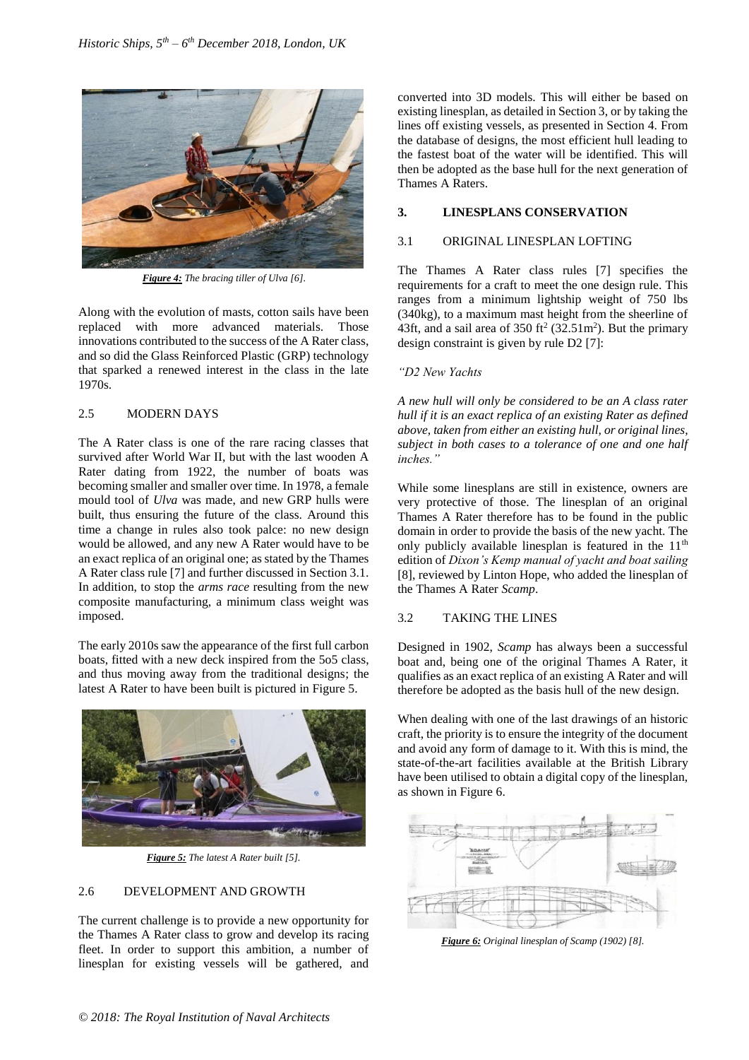

*Figure 4: The bracing tiller of Ulva [6].*

Along with the evolution of masts, cotton sails have been replaced with more advanced materials. Those innovations contributed to the success of the A Rater class, and so did the Glass Reinforced Plastic (GRP) technology that sparked a renewed interest in the class in the late 1970s.

# 2.5 MODERN DAYS

The A Rater class is one of the rare racing classes that survived after World War II, but with the last wooden A Rater dating from 1922, the number of boats was becoming smaller and smaller over time. In 1978, a female mould tool of *Ulva* was made, and new GRP hulls were built, thus ensuring the future of the class. Around this time a change in rules also took palce: no new design would be allowed, and any new A Rater would have to be an exact replica of an original one; as stated by the Thames A Rater class rule [7] and further discussed in Section 3.1. In addition, to stop the *arms race* resulting from the new composite manufacturing, a minimum class weight was imposed.

The early 2010s saw the appearance of the first full carbon boats, fitted with a new deck inspired from the 5o5 class, and thus moving away from the traditional designs; the latest A Rater to have been built is pictured in Figure 5.



*Figure 5: The latest A Rater built [5].*

# 2.6 DEVELOPMENT AND GROWTH

The current challenge is to provide a new opportunity for the Thames A Rater class to grow and develop its racing fleet. In order to support this ambition, a number of linesplan for existing vessels will be gathered, and converted into 3D models. This will either be based on existing linesplan, as detailed in Section 3, or by taking the lines off existing vessels, as presented in Section 4. From the database of designs, the most efficient hull leading to the fastest boat of the water will be identified. This will then be adopted as the base hull for the next generation of Thames A Raters.

# **3. LINESPLANS CONSERVATION**

## 3.1 ORIGINAL LINESPLAN LOFTING

The Thames A Rater class rules [7] specifies the requirements for a craft to meet the one design rule. This ranges from a minimum lightship weight of 750 lbs (340kg), to a maximum mast height from the sheerline of 43ft, and a sail area of  $350$  ft<sup>2</sup> ( $32.51$ m<sup>2</sup>). But the primary design constraint is given by rule D2 [7]:

## *"D2 New Yachts*

*A new hull will only be considered to be an A class rater hull if it is an exact replica of an existing Rater as defined above, taken from either an existing hull, or original lines, subject in both cases to a tolerance of one and one half inches."*

While some linesplans are still in existence, owners are very protective of those. The linesplan of an original Thames A Rater therefore has to be found in the public domain in order to provide the basis of the new yacht. The only publicly available linesplan is featured in the  $11<sup>th</sup>$ edition of *Dixon's Kemp manual of yacht and boat sailing* [8], reviewed by Linton Hope, who added the linesplan of the Thames A Rater *Scamp*.

# 3.2 TAKING THE LINES

Designed in 1902, *Scamp* has always been a successful boat and, being one of the original Thames A Rater, it qualifies as an exact replica of an existing A Rater and will therefore be adopted as the basis hull of the new design.

When dealing with one of the last drawings of an historic craft, the priority is to ensure the integrity of the document and avoid any form of damage to it. With this is mind, the state-of-the-art facilities available at the British Library have been utilised to obtain a digital copy of the linesplan, as shown in Figure 6.



*Figure 6: Original linesplan of Scamp (1902) [8].*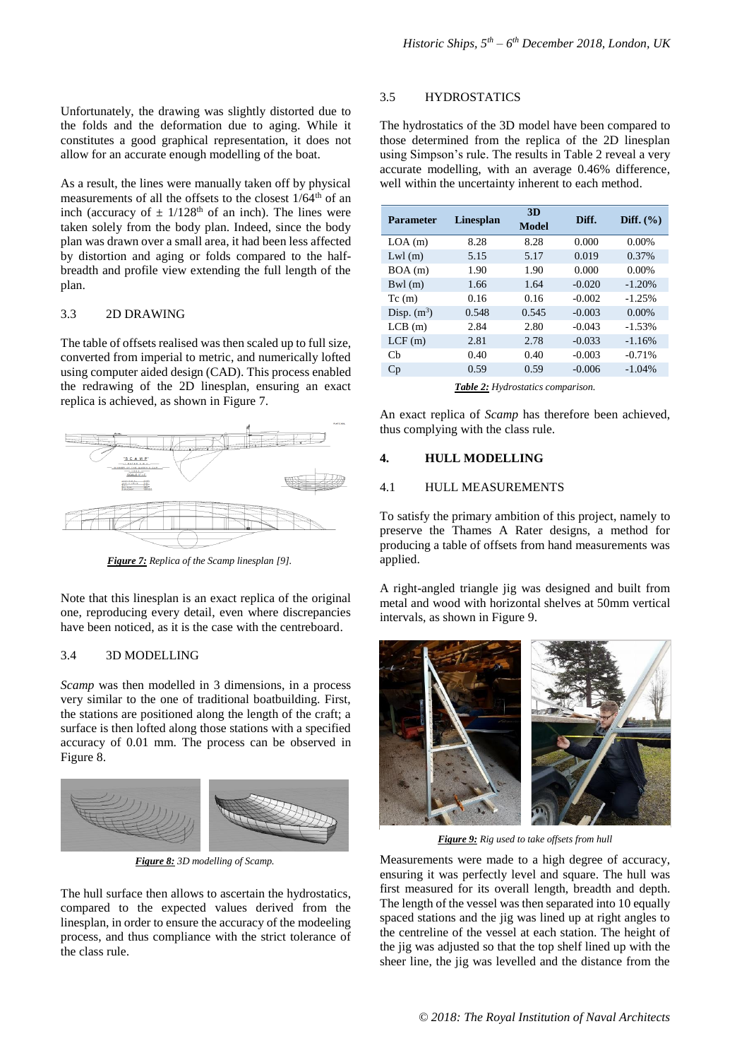Unfortunately, the drawing was slightly distorted due to the folds and the deformation due to aging. While it constitutes a good graphical representation, it does not allow for an accurate enough modelling of the boat.

As a result, the lines were manually taken off by physical measurements of all the offsets to the closest  $1/64<sup>th</sup>$  of an inch (accuracy of  $\pm$  1/128<sup>th</sup> of an inch). The lines were taken solely from the body plan. Indeed, since the body plan was drawn over a small area, it had been less affected by distortion and aging or folds compared to the halfbreadth and profile view extending the full length of the plan.

#### 3.3 2D DRAWING

The table of offsets realised was then scaled up to full size, converted from imperial to metric, and numerically lofted using computer aided design (CAD). This process enabled the redrawing of the 2D linesplan, ensuring an exact replica is achieved, as shown in Figure 7.



*Figure 7: Replica of the Scamp linesplan [9].*

Note that this linesplan is an exact replica of the original one, reproducing every detail, even where discrepancies have been noticed, as it is the case with the centreboard.

## 3.4 3D MODELLING

*Scamp* was then modelled in 3 dimensions, in a process very similar to the one of traditional boatbuilding. First, the stations are positioned along the length of the craft; a surface is then lofted along those stations with a specified accuracy of 0.01 mm. The process can be observed in Figure 8.



*Figure 8: 3D modelling of Scamp.*

The hull surface then allows to ascertain the hydrostatics, compared to the expected values derived from the linesplan, in order to ensure the accuracy of the modeeling process, and thus compliance with the strict tolerance of the class rule.

## 3.5 HYDROSTATICS

The hydrostatics of the 3D model have been compared to those determined from the replica of the 2D linesplan using Simpson's rule. The results in Table 2 reveal a very accurate modelling, with an average 0.46% difference, well within the uncertainty inherent to each method.

| <b>Parameter</b> | <b>Linesplan</b> | 3D<br><b>Model</b> | Diff.    | Diff. $(\% )$ |
|------------------|------------------|--------------------|----------|---------------|
| LOA(m)           | 8.28             | 8.28               | 0.000    | 0.00%         |
| $Lwl$ (m)        | 5.15             | 5.17               | 0.019    | 0.37%         |
| BOA(m)           | 1.90             | 1.90               | 0.000    | 0.00%         |
| Bwl(m)           | 1.66             | 1.64               | $-0.020$ | $-1.20%$      |
| Tc(m)            | 0.16             | 0.16               | $-0.002$ | $-1.25%$      |
| Disp. $(m^3)$    | 0.548            | 0.545              | $-0.003$ | 0.00%         |
| LCB(m)           | 2.84             | 2.80               | $-0.043$ | $-1.53%$      |
| LCF(m)           | 2.81             | 2.78               | $-0.033$ | $-1.16%$      |
| $\mathsf{Ch}$    | 0.40             | 0.40               | $-0.003$ | $-0.71%$      |
| Cp               | 0.59             | 0.59               | $-0.006$ | $-1.04%$      |

*Table 2: Hydrostatics comparison.*

An exact replica of *Scamp* has therefore been achieved, thus complying with the class rule.

#### **4. HULL MODELLING**

#### 4.1 HULL MEASUREMENTS

To satisfy the primary ambition of this project, namely to preserve the Thames A Rater designs, a method for producing a table of offsets from hand measurements was applied.

A right-angled triangle jig was designed and built from metal and wood with horizontal shelves at 50mm vertical intervals, as shown in Figure 9.



*Figure 9: Rig used to take offsets from hull*

Measurements were made to a high degree of accuracy, ensuring it was perfectly level and square. The hull was first measured for its overall length, breadth and depth. The length of the vessel was then separated into 10 equally spaced stations and the jig was lined up at right angles to the centreline of the vessel at each station. The height of the jig was adjusted so that the top shelf lined up with the sheer line, the jig was levelled and the distance from the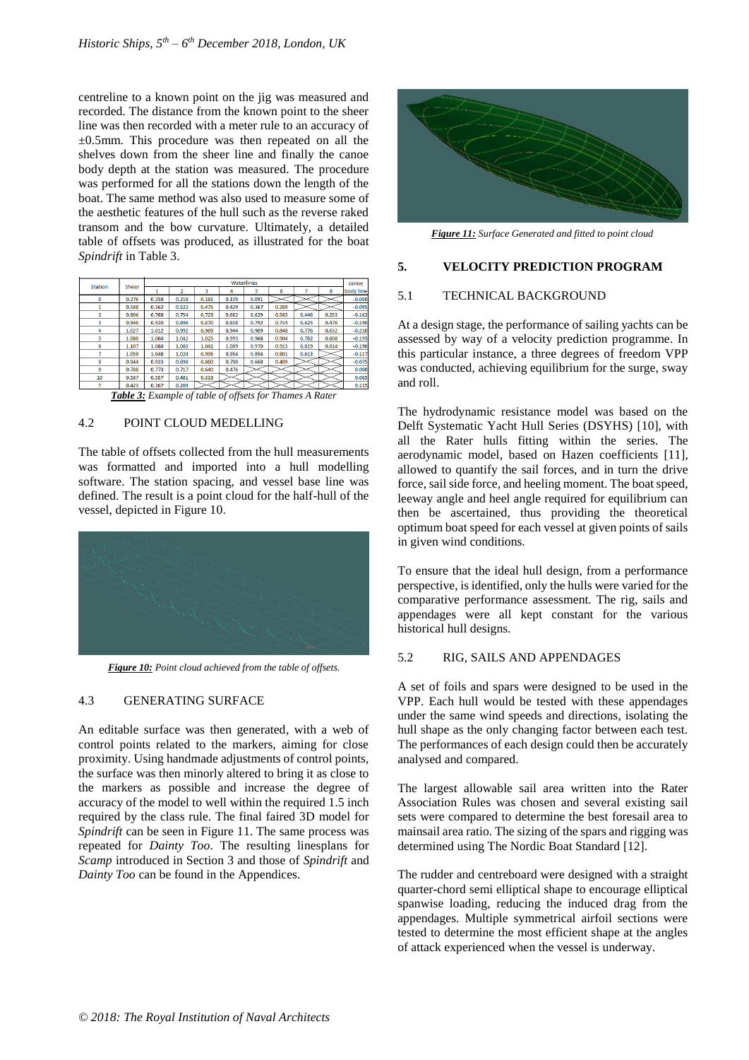centreline to a known point on the jig was measured and recorded. The distance from the known point to the sheer line was then recorded with a meter rule to an accuracy of ±0.5mm. This procedure was then repeated on all the shelves down from the sheer line and finally the canoe body depth at the station was measured. The procedure was performed for all the stations down the length of the boat. The same method was also used to measure some of the aesthetic features of the hull such as the reverse raked transom and the bow curvature. Ultimately, a detailed table of offsets was produced, as illustrated for the boat *Spindrift* in Table 3.

| <b>Station</b> | Sheer | Waterlines |       |       |       |       |       |       | canoe |           |
|----------------|-------|------------|-------|-------|-------|-------|-------|-------|-------|-----------|
|                |       |            | 2     | 3     | 4     | 5     | 6     |       | s.    | body line |
| $\bf{0}$       | 0.276 | 0.258      | 0.218 | 0.181 | 0.139 | 0.091 |       |       |       | $-0.050$  |
| 1              | 0.588 | 0.562      | 0.522 | 0.475 | 0.429 | 0.367 | 0.289 |       |       | $-0.095$  |
| $\overline{2}$ | 0.806 | 0.788      | 0.754 | 0.723 | 0.682 | 0.629 | 0.565 | 0.446 | 0.253 | $-0.162$  |
| 3              | 0.940 | 0.920      | 0.896 | 0.870 | 0.838 | 0.792 | 0.719 | 0.625 | 0.476 | $-0.190$  |
| 4              | 1.027 | 1.012      | 0.992 | 0.969 | 0.944 | 0.909 | 0.848 | 0.776 | 0.632 | $-0.210$  |
| 5              | 1.080 | 1.064      | 1.042 | 1.025 | 0.993 | 0.968 | 0.904 | 0.782 | 0.608 | $-0.195$  |
| 6              | 1.107 | 1.084      | 1.065 | 1.041 | 1.009 | 0.970 | 0.915 | 0.819 | 0.614 | $-0.190$  |
|                | 1.059 | 1.048      | 1.024 | 0.995 | 0.954 | 0.894 | 0.801 | 0.613 |       | $-0.117$  |
| 8              | 0.944 | 0.933      | 0.898 | 0.860 | 0.790 | 0.668 | 0.409 |       |       | $-0.075$  |
| 9              | 0.788 | 0.773      | 0.717 | 0.640 | 0.476 |       |       |       |       | 0.000     |
| 10             | 0.587 | 0.557      | 0.481 | 0.333 |       |       |       |       |       | 0.065     |
|                | 0.423 | 0.367      | 0.209 |       |       |       |       |       |       | 0.115     |

*Table 3: Example of table of offsets for Thames A Rater*

## 4.2 POINT CLOUD MEDELLING

The table of offsets collected from the hull measurements was formatted and imported into a hull modelling software. The station spacing, and vessel base line was defined. The result is a point cloud for the half-hull of the vessel, depicted in Figure 10.



*Figure 10: Point cloud achieved from the table of offsets.*

## 4.3 GENERATING SURFACE

An editable surface was then generated, with a web of control points related to the markers, aiming for close proximity. Using handmade adjustments of control points, the surface was then minorly altered to bring it as close to the markers as possible and increase the degree of accuracy of the model to well within the required 1.5 inch required by the class rule. The final faired 3D model for *Spindrift* can be seen in Figure 11. The same process was repeated for *Dainty Too*. The resulting linesplans for *Scamp* introduced in Section 3 and those of *Spindrift* and *Dainty Too* can be found in the Appendices.



*Figure 11: Surface Generated and fitted to point cloud*

# **5. VELOCITY PREDICTION PROGRAM**

## 5.1 TECHNICAL BACKGROUND

At a design stage, the performance of sailing yachts can be assessed by way of a velocity prediction programme. In this particular instance, a three degrees of freedom VPP was conducted, achieving equilibrium for the surge, sway and roll.

The hydrodynamic resistance model was based on the Delft Systematic Yacht Hull Series (DSYHS) [10], with all the Rater hulls fitting within the series. The aerodynamic model, based on Hazen coefficients [11], allowed to quantify the sail forces, and in turn the drive force, sail side force, and heeling moment. The boat speed, leeway angle and heel angle required for equilibrium can then be ascertained, thus providing the theoretical optimum boat speed for each vessel at given points of sails in given wind conditions.

To ensure that the ideal hull design, from a performance perspective, is identified, only the hulls were varied for the comparative performance assessment. The rig, sails and appendages were all kept constant for the various historical hull designs.

## 5.2 RIG, SAILS AND APPENDAGES

A set of foils and spars were designed to be used in the VPP. Each hull would be tested with these appendages under the same wind speeds and directions, isolating the hull shape as the only changing factor between each test. The performances of each design could then be accurately analysed and compared.

The largest allowable sail area written into the Rater Association Rules was chosen and several existing sail sets were compared to determine the best foresail area to mainsail area ratio. The sizing of the spars and rigging was determined using The Nordic Boat Standard [12].

The rudder and centreboard were designed with a straight quarter-chord semi elliptical shape to encourage elliptical spanwise loading, reducing the induced drag from the appendages. Multiple symmetrical airfoil sections were tested to determine the most efficient shape at the angles of attack experienced when the vessel is underway.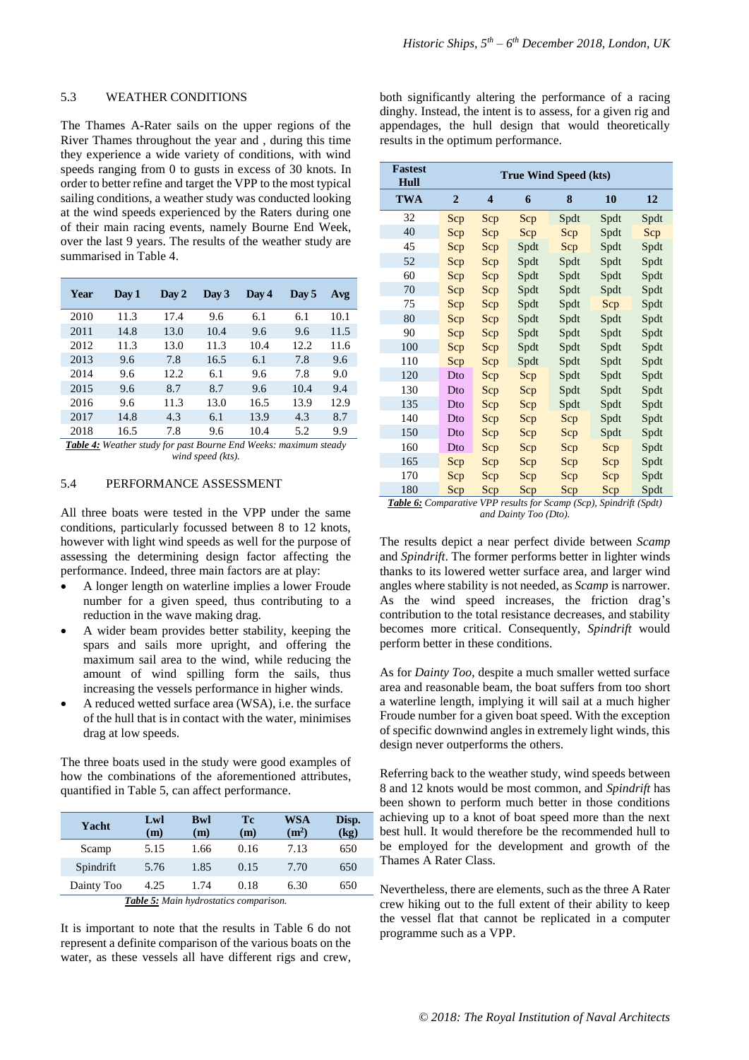#### 5.3 WEATHER CONDITIONS

The Thames A-Rater sails on the upper regions of the River Thames throughout the year and , during this time they experience a wide variety of conditions, with wind speeds ranging from 0 to gusts in excess of 30 knots. In order to better refine and target the VPP to the most typical sailing conditions, a weather study was conducted looking at the wind speeds experienced by the Raters during one of their main racing events, namely Bourne End Week, over the last 9 years. The results of the weather study are summarised in Table 4.

| Year | Day 1 | Day 2 | Day 3 | Day 4 | Day 5 | Avg  |
|------|-------|-------|-------|-------|-------|------|
| 2010 | 11.3  | 17.4  | 9.6   | 6.1   | 6.1   | 10.1 |
| 2011 | 14.8  | 13.0  | 10.4  | 9.6   | 9.6   | 11.5 |
| 2012 | 11.3  | 13.0  | 11.3  | 10.4  | 12.2  | 11.6 |
| 2013 | 9.6   | 7.8   | 16.5  | 6.1   | 7.8   | 9.6  |
| 2014 | 9.6   | 12.2. | 6.1   | 9.6   | 7.8   | 9.0  |
| 2015 | 9.6   | 8.7   | 8.7   | 9.6   | 10.4  | 9.4  |
| 2016 | 9.6   | 11.3  | 13.0  | 16.5  | 13.9  | 12.9 |
| 2017 | 14.8  | 4.3   | 6.1   | 13.9  | 4.3   | 8.7  |
| 2018 | 16.5  | 7.8   | 9.6   | 10.4  | 5.2   | 9.9  |

*Table 4: Weather study for past Bourne End Weeks: maximum steady wind speed (kts).*

#### 5.4 PERFORMANCE ASSESSMENT

All three boats were tested in the VPP under the same conditions, particularly focussed between 8 to 12 knots, however with light wind speeds as well for the purpose of assessing the determining design factor affecting the performance. Indeed, three main factors are at play:

- A longer length on waterline implies a lower Froude number for a given speed, thus contributing to a reduction in the wave making drag.
- A wider beam provides better stability, keeping the spars and sails more upright, and offering the maximum sail area to the wind, while reducing the amount of wind spilling form the sails, thus increasing the vessels performance in higher winds.
- A reduced wetted surface area (WSA), i.e. the surface of the hull that is in contact with the water, minimises drag at low speeds.

The three boats used in the study were good examples of how the combinations of the aforementioned attributes, quantified in Table 5, can affect performance.

| Yacht                                  | Lw<br>(m) | <b>Bwl</b><br>(m) | Tc<br>(m) | WSA<br>(m <sup>2</sup> ) | Disp.<br>(kg) |  |  |
|----------------------------------------|-----------|-------------------|-----------|--------------------------|---------------|--|--|
| Scamp                                  | 5.15      | 1.66              | 0.16      | 7.13                     | 650           |  |  |
| Spindrift                              | 5.76      | 1.85              | 0.15      | 7.70                     | 650           |  |  |
| Dainty Too                             | 4.25      | 1.74              | 0.18      | 6.30                     | 650           |  |  |
| Table 5: Main hydrostatics comparison. |           |                   |           |                          |               |  |  |

It is important to note that the results in Table 6 do not represent a definite comparison of the various boats on the water, as these vessels all have different rigs and crew,

both significantly altering the performance of a racing dinghy. Instead, the intent is to assess, for a given rig and appendages, the hull design that would theoretically results in the optimum performance.

| <b>Fastest</b><br>Hull            | <b>True Wind Speed (kts)</b> |            |                                |               |      |                                                                |  |
|-----------------------------------|------------------------------|------------|--------------------------------|---------------|------|----------------------------------------------------------------|--|
| <b>TWA</b>                        | $\overline{2}$               | 4          | 6                              | 8             | 10   | 12                                                             |  |
| 32                                | Scp                          | Scp        | Scp                            | Spdt          | Spdt | Spdt                                                           |  |
| 40                                | Scp                          | Scp        | Scp                            | Scp           | Spdt | Scp                                                            |  |
| 45                                | Scp                          | Scp        | Spdt                           | Scp           | Spdt | Spdt                                                           |  |
| 52                                | Scp                          | Scp        | Spdt                           | Spdt          | Spdt | Spdt                                                           |  |
| 60                                | Scp                          | Scp        | Spdt                           | Spdt          | Spdt | Spdt                                                           |  |
| 70                                | Scp                          | Scp        | Spdt                           | Spdt          | Spdt | Spdt                                                           |  |
| 75                                | Scp                          | Scp        | Spdt                           | Spdt          | Scp  | Spdt                                                           |  |
| 80                                | Scp                          | Scp        | Spdt                           | Spdt          | Spdt | Spdt                                                           |  |
| 90                                | Scp                          | Scp        | Spdt                           | Spdt          | Spdt | Spdt                                                           |  |
| 100                               | Scp                          | Scp        | Spdt                           | Spdt          | Spdt | Spdt                                                           |  |
| 110                               | Scp                          | Scp        | Spdt                           | Spdt          | Spdt | Spdt                                                           |  |
| 120                               | Dto                          | Scp        | Scp                            | Spdt          | Spdt | Spdt                                                           |  |
| 130                               | Dto                          | Scp        | Scp                            | Spdt          | Spdt | Spdt                                                           |  |
| 135                               | Dto                          | Scp        | Scp                            | Spdt          | Spdt | Spdt                                                           |  |
| 140                               | Dto                          | Scp        | Scp                            | Scp           | Spdt | Spdt                                                           |  |
| 150                               | Dto                          | Scp        | Scp                            | Scp           | Spdt | Spdt                                                           |  |
| 160                               | Dto                          | Scp        | Scp                            | Scp           | Scp  | Spdt                                                           |  |
| 165                               | Scp                          | Scp        | Scp                            | Scp           | Scp  | Spdt                                                           |  |
| 170                               | Scp                          | Scp        | Scp                            | Scp           | Scp  | Spdt                                                           |  |
| 180<br>$T - L1 - C$<br>$\sqrt{2}$ | Scp                          | Scp<br>IDD | Scp<br>1.0 C<br>$\mathbb{R}^n$ | Scp<br>(0, 0) | Scp  | Spdt<br>$C_1, \ldots, C_n, C_1, \ldots, C_n, C_1, \ldots, C_n$ |  |

*Table 6: Comparative VPP results for Scamp (Scp), Spindrift (Spdt) and Dainty Too (Dto).*

The results depict a near perfect divide between *Scamp* and *Spindrift*. The former performs better in lighter winds thanks to its lowered wetter surface area, and larger wind angles where stability is not needed, as *Scamp* is narrower. As the wind speed increases, the friction drag's contribution to the total resistance decreases, and stability becomes more critical. Consequently, *Spindrift* would perform better in these conditions.

As for *Dainty Too*, despite a much smaller wetted surface area and reasonable beam, the boat suffers from too short a waterline length, implying it will sail at a much higher Froude number for a given boat speed. With the exception of specific downwind angles in extremely light winds, this design never outperforms the others.

Referring back to the weather study, wind speeds between 8 and 12 knots would be most common, and *Spindrift* has been shown to perform much better in those conditions achieving up to a knot of boat speed more than the next best hull. It would therefore be the recommended hull to be employed for the development and growth of the Thames A Rater Class.

Nevertheless, there are elements, such as the three A Rater crew hiking out to the full extent of their ability to keep the vessel flat that cannot be replicated in a computer programme such as a VPP.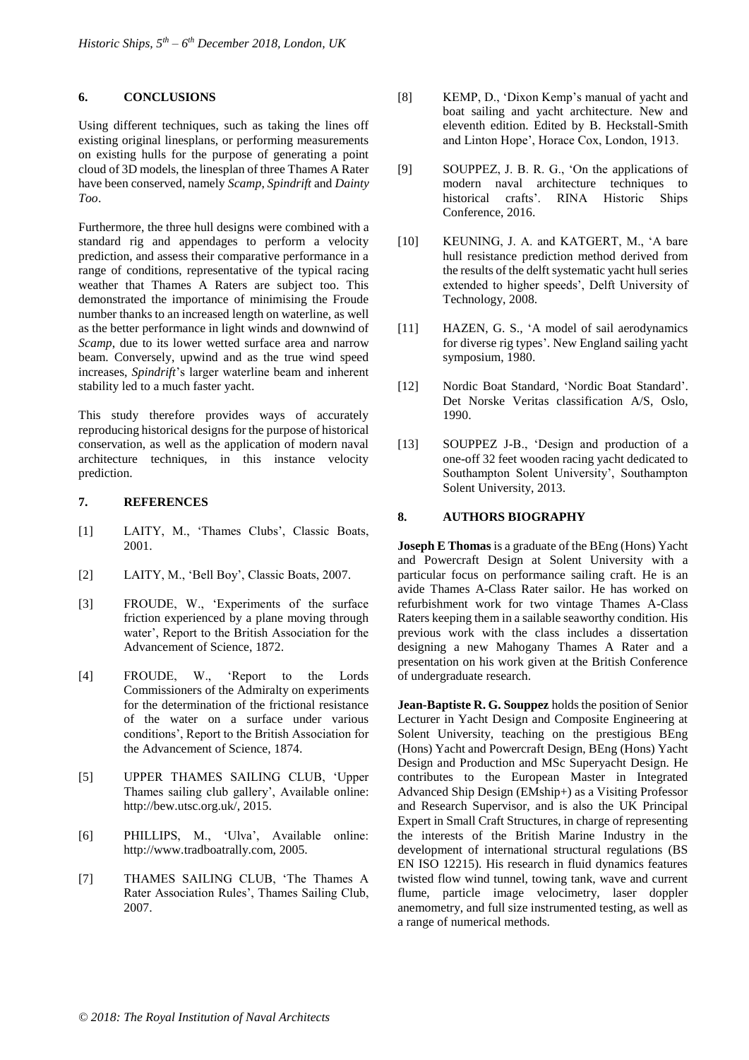# **6. CONCLUSIONS**

Using different techniques, such as taking the lines off existing original linesplans, or performing measurements on existing hulls for the purpose of generating a point cloud of 3D models, the linesplan of three Thames A Rater have been conserved, namely *Scamp*, *Spindrift* and *Dainty Too*.

Furthermore, the three hull designs were combined with a standard rig and appendages to perform a velocity prediction, and assess their comparative performance in a range of conditions, representative of the typical racing weather that Thames A Raters are subject too. This demonstrated the importance of minimising the Froude number thanks to an increased length on waterline, as well as the better performance in light winds and downwind of *Scamp*, due to its lower wetted surface area and narrow beam. Conversely, upwind and as the true wind speed increases, *Spindrift*'s larger waterline beam and inherent stability led to a much faster yacht.

This study therefore provides ways of accurately reproducing historical designs for the purpose of historical conservation, as well as the application of modern naval architecture techniques, in this instance velocity prediction.

# **7. REFERENCES**

- [1] LAITY, M., 'Thames Clubs', Classic Boats, 2001.
- [2] LAITY, M., 'Bell Boy', Classic Boats, 2007.
- [3] FROUDE, W., 'Experiments of the surface friction experienced by a plane moving through water', Report to the British Association for the Advancement of Science, 1872.
- [4] FROUDE, W., 'Report to the Lords Commissioners of the Admiralty on experiments for the determination of the frictional resistance of the water on a surface under various conditions', Report to the British Association for the Advancement of Science, 1874.
- [5] UPPER THAMES SAILING CLUB, 'Upper Thames sailing club gallery', Available online: http://bew.utsc.org.uk/, 2015.
- [6] PHILLIPS, M., 'Ulva', Available online: http://www.tradboatrally.com, 2005.
- [7] THAMES SAILING CLUB, 'The Thames A Rater Association Rules', Thames Sailing Club, 2007.
- [8] KEMP, D., 'Dixon Kemp's manual of yacht and boat sailing and yacht architecture. New and eleventh edition. Edited by B. Heckstall-Smith and Linton Hope', Horace Cox, London, 1913.
- [9] SOUPPEZ, J. B. R. G., 'On the applications of modern naval architecture techniques to historical crafts'. RINA Historic Ships Conference, 2016.
- [10] KEUNING, J. A. and KATGERT, M., 'A bare hull resistance prediction method derived from the results of the delft systematic yacht hull series extended to higher speeds', Delft University of Technology, 2008.
- [11] HAZEN, G. S., 'A model of sail aerodynamics for diverse rig types'. New England sailing yacht symposium, 1980.
- [12] Nordic Boat Standard, 'Nordic Boat Standard'. Det Norske Veritas classification A/S, Oslo, 1990.
- [13] SOUPPEZ J-B., 'Design and production of a one-off 32 feet wooden racing yacht dedicated to Southampton Solent University', Southampton Solent University, 2013.

# **8. AUTHORS BIOGRAPHY**

**Joseph E Thomas** is a graduate of the BEng (Hons) Yacht and Powercraft Design at Solent University with a particular focus on performance sailing craft. He is an avide Thames A-Class Rater sailor. He has worked on refurbishment work for two vintage Thames A-Class Raters keeping them in a sailable seaworthy condition. His previous work with the class includes a dissertation designing a new Mahogany Thames A Rater and a presentation on his work given at the British Conference of undergraduate research.

**Jean-Baptiste R. G. Souppez** holds the position of Senior Lecturer in Yacht Design and Composite Engineering at Solent University, teaching on the prestigious BEng (Hons) Yacht and Powercraft Design, BEng (Hons) Yacht Design and Production and MSc Superyacht Design. He contributes to the European Master in Integrated Advanced Ship Design (EMship+) as a Visiting Professor and Research Supervisor, and is also the UK Principal Expert in Small Craft Structures, in charge of representing the interests of the British Marine Industry in the development of international structural regulations (BS EN ISO 12215). His research in fluid dynamics features twisted flow wind tunnel, towing tank, wave and current flume, particle image velocimetry, laser doppler anemometry, and full size instrumented testing, as well as a range of numerical methods.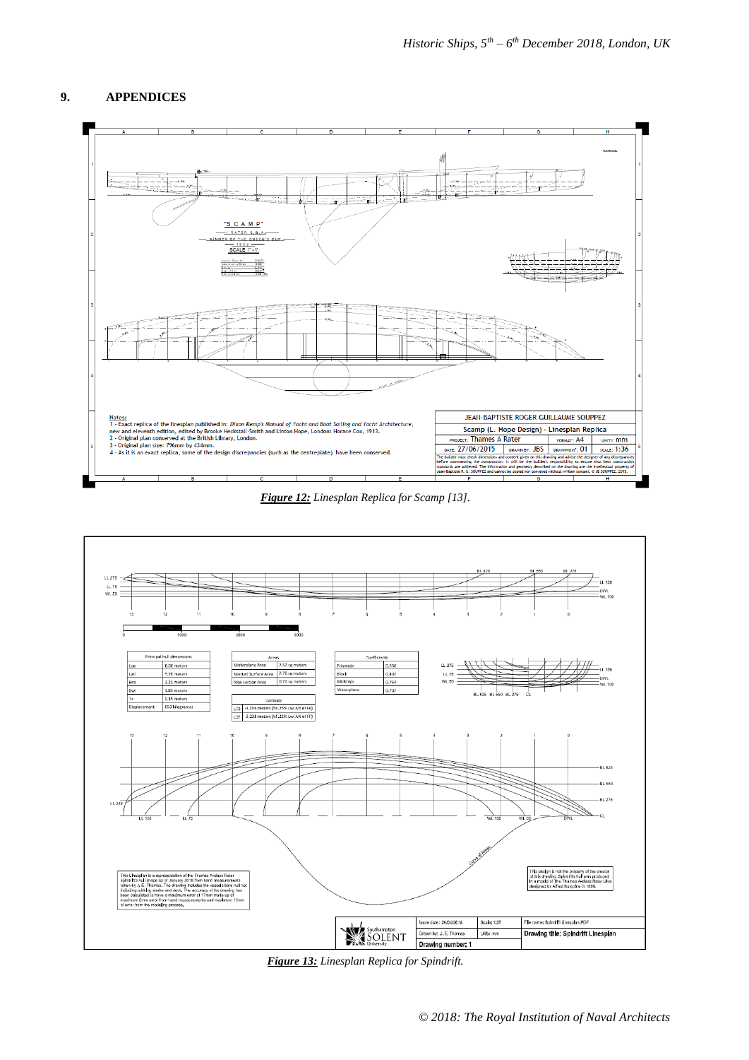# **9. APPENDICES**



*Figure 12: Linesplan Replica for Scamp [13].*



*Figure 13: Linesplan Replica for Spindrift.*